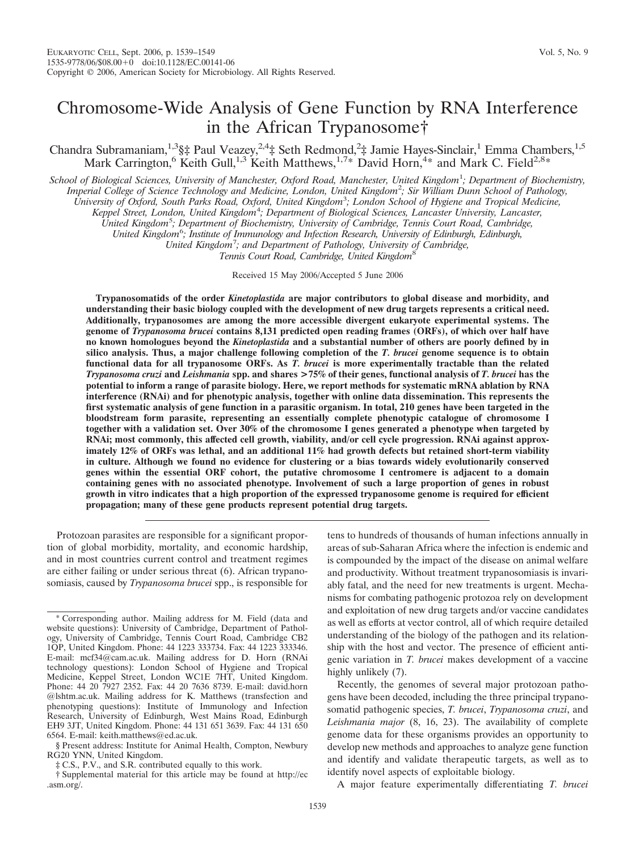Chandra Subramaniam,<sup>1,3</sup>§‡ Paul Veazey,<sup>2,4</sup>‡ Seth Redmond,<sup>2</sup>‡ Jamie Hayes-Sinclair,<sup>1</sup> Emma Chambers,<sup>1,5</sup> Mark Carrington,<sup>6</sup> Keith Gull,<sup>1,3</sup> Keith Matthews,<sup>1,7\*</sup> David Horn,<sup>4\*</sup> and Mark C. Field<sup>2,8\*</sup>

*School of Biological Sciences, University of Manchester, Oxford Road, Manchester, United Kingdom*<sup>1</sup> *; Department of Biochemistry, Imperial College of Science Technology and Medicine, London, United Kingdom*<sup>2</sup> *; Sir William Dunn School of Pathology,*

*University of Oxford, South Parks Road, Oxford, United Kingdom*<sup>3</sup> *; London School of Hygiene and Tropical Medicine,*

*Keppel Street, London, United Kingdom*<sup>4</sup> *; Department of Biological Sciences, Lancaster University, Lancaster,*

*United Kingdom*<sup>5</sup> *; Department of Biochemistry, University of Cambridge, Tennis Court Road, Cambridge,*

*United Kingdom*<sup>6</sup> *; Institute of Immunology and Infection Research, University of Edinburgh, Edinburgh,*

*United Kingdom*<sup>7</sup> *; and Department of Pathology, University of Cambridge,*

*Tennis Court Road, Cambridge, United Kingdom*<sup>8</sup>

Received 15 May 2006/Accepted 5 June 2006

**Trypanosomatids of the order** *Kinetoplastida* **are major contributors to global disease and morbidity, and understanding their basic biology coupled with the development of new drug targets represents a critical need. Additionally, trypanosomes are among the more accessible divergent eukaryote experimental systems. The genome of** *Trypanosoma brucei* **contains 8,131 predicted open reading frames (ORFs), of which over half have no known homologues beyond the** *Kinetoplastida* **and a substantial number of others are poorly defined by in silico analysis. Thus, a major challenge following completion of the** *T. brucei* **genome sequence is to obtain functional data for all trypanosome ORFs. As** *T. brucei* **is more experimentally tractable than the related** *Trypanosoma cruzi* **and** *Leishmania* **spp. and shares >75% of their genes, functional analysis of** *T. brucei* **has the potential to inform a range of parasite biology. Here, we report methods for systematic mRNA ablation by RNA interference (RNAi) and for phenotypic analysis, together with online data dissemination. This represents the first systematic analysis of gene function in a parasitic organism. In total, 210 genes have been targeted in the bloodstream form parasite, representing an essentially complete phenotypic catalogue of chromosome I together with a validation set. Over 30% of the chromosome I genes generated a phenotype when targeted by RNAi; most commonly, this affected cell growth, viability, and/or cell cycle progression. RNAi against approximately 12% of ORFs was lethal, and an additional 11% had growth defects but retained short-term viability in culture. Although we found no evidence for clustering or a bias towards widely evolutionarily conserved genes within the essential ORF cohort, the putative chromosome I centromere is adjacent to a domain containing genes with no associated phenotype. Involvement of such a large proportion of genes in robust growth in vitro indicates that a high proportion of the expressed trypanosome genome is required for efficient propagation; many of these gene products represent potential drug targets.**

Protozoan parasites are responsible for a significant proportion of global morbidity, mortality, and economic hardship, and in most countries current control and treatment regimes are either failing or under serious threat (6). African trypanosomiasis, caused by *Trypanosoma brucei* spp., is responsible for tens to hundreds of thousands of human infections annually in areas of sub-Saharan Africa where the infection is endemic and is compounded by the impact of the disease on animal welfare and productivity. Without treatment trypanosomiasis is invariably fatal, and the need for new treatments is urgent. Mechanisms for combating pathogenic protozoa rely on development and exploitation of new drug targets and/or vaccine candidates as well as efforts at vector control, all of which require detailed understanding of the biology of the pathogen and its relationship with the host and vector. The presence of efficient antigenic variation in *T. brucei* makes development of a vaccine highly unlikely (7).

Recently, the genomes of several major protozoan pathogens have been decoded, including the three principal trypanosomatid pathogenic species, *T. brucei*, *Trypanosoma cruzi*, and *Leishmania major* (8, 16, 23). The availability of complete genome data for these organisms provides an opportunity to develop new methods and approaches to analyze gene function and identify and validate therapeutic targets, as well as to identify novel aspects of exploitable biology.

A major feature experimentally differentiating *T. brucei*

Corresponding author. Mailing address for M. Field (data and website questions): University of Cambridge, Department of Pathology, University of Cambridge, Tennis Court Road, Cambridge CB2 1QP, United Kingdom. Phone: 44 1223 333734. Fax: 44 1223 333346. E-mail: mcf34@cam.ac.uk. Mailing address for D. Horn (RNAi technology questions): London School of Hygiene and Tropical Medicine, Keppel Street, London WC1E 7HT, United Kingdom. Phone: 44 20 7927 2352. Fax: 44 20 7636 8739. E-mail: david.horn @lshtm.ac.uk. Mailing address for K. Matthews (transfection and phenotyping questions): Institute of Immunology and Infection Research, University of Edinburgh, West Mains Road, Edinburgh EH9 3JT, United Kingdom. Phone: 44 131 651 3639. Fax: 44 131 650 6564. E-mail: keith.matthews@ed.ac.uk.

<sup>§</sup> Present address: Institute for Animal Health, Compton, Newbury RG20 YNN, United Kingdom.

<sup>‡</sup> C.S., P.V., and S.R. contributed equally to this work.

<sup>†</sup> Supplemental material for this article may be found at http://ec .asm.org/.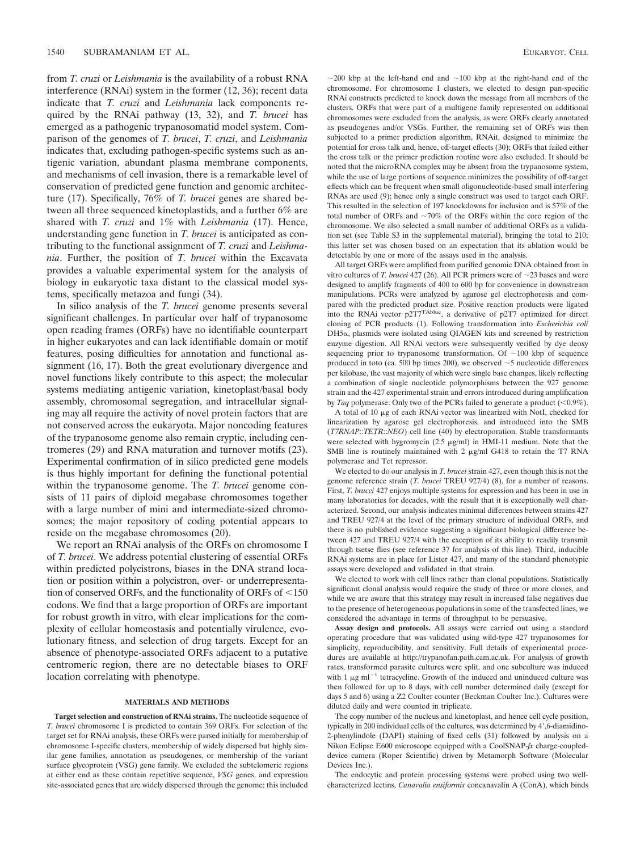from *T. cruzi* or *Leishmania* is the availability of a robust RNA interference (RNAi) system in the former (12, 36); recent data indicate that *T. cruzi* and *Leishmania* lack components required by the RNAi pathway (13, 32), and *T. brucei* has emerged as a pathogenic trypanosomatid model system. Comparison of the genomes of *T. brucei*, *T. cruzi*, and *Leishmania* indicates that, excluding pathogen-specific systems such as antigenic variation, abundant plasma membrane components, and mechanisms of cell invasion, there is a remarkable level of conservation of predicted gene function and genomic architecture (17). Specifically, 76% of *T. brucei* genes are shared between all three sequenced kinetoplastids, and a further 6% are shared with *T. cruzi* and 1% with *Leishmania* (17). Hence, understanding gene function in *T. brucei* is anticipated as contributing to the functional assignment of *T. cruzi* and *Leishmania*. Further, the position of *T. brucei* within the Excavata provides a valuable experimental system for the analysis of biology in eukaryotic taxa distant to the classical model systems, specifically metazoa and fungi (34).

In silico analysis of the *T. brucei* genome presents several significant challenges. In particular over half of trypanosome open reading frames (ORFs) have no identifiable counterpart in higher eukaryotes and can lack identifiable domain or motif features, posing difficulties for annotation and functional assignment (16, 17). Both the great evolutionary divergence and novel functions likely contribute to this aspect; the molecular systems mediating antigenic variation, kinetoplast/basal body assembly, chromosomal segregation, and intracellular signaling may all require the activity of novel protein factors that are not conserved across the eukaryota. Major noncoding features of the trypanosome genome also remain cryptic, including centromeres (29) and RNA maturation and turnover motifs (23). Experimental confirmation of in silico predicted gene models is thus highly important for defining the functional potential within the trypanosome genome. The *T. brucei* genome consists of 11 pairs of diploid megabase chromosomes together with a large number of mini and intermediate-sized chromosomes; the major repository of coding potential appears to reside on the megabase chromosomes (20).

We report an RNAi analysis of the ORFs on chromosome I of *T. brucei*. We address potential clustering of essential ORFs within predicted polycistrons, biases in the DNA strand location or position within a polycistron, over- or underrepresentation of conserved ORFs, and the functionality of ORFs of  $\leq 150$ codons. We find that a large proportion of ORFs are important for robust growth in vitro, with clear implications for the complexity of cellular homeostasis and potentially virulence, evolutionary fitness, and selection of drug targets. Except for an absence of phenotype-associated ORFs adjacent to a putative centromeric region, there are no detectable biases to ORF location correlating with phenotype.

# **MATERIALS AND METHODS**

**Target selection and construction of RNAi strains.** The nucleotide sequence of *T. brucei* chromosome I is predicted to contain 369 ORFs. For selection of the target set for RNAi analysis, these ORFs were parsed initially for membership of chromosome I-specific clusters, membership of widely dispersed but highly similar gene families, annotation as pseudogenes, or membership of the variant surface glycoprotein (VSG) gene family. We excluded the subtelomeric regions at either end as these contain repetitive sequence, *VSG* genes, and expression site-associated genes that are widely dispersed through the genome; this included

 $\sim$ 200 kbp at the left-hand end and  $\sim$ 100 kbp at the right-hand end of the chromosome. For chromosome I clusters, we elected to design pan*-*specific RNAi constructs predicted to knock down the message from all members of the clusters. ORFs that were part of a multigene family represented on additional chromosomes were excluded from the analysis, as were ORFs clearly annotated as pseudogenes and/or VSGs. Further, the remaining set of ORFs was then subjected to a primer prediction algorithm, RNAit, designed to minimize the potential for cross talk and, hence, off-target effects (30); ORFs that failed either the cross talk or the primer prediction routine were also excluded. It should be noted that the microRNA complex may be absent from the trypanosome system, while the use of large portions of sequence minimizes the possibility of off-target effects which can be frequent when small oligonucleotide-based small interfering RNAs are used (9); hence only a single construct was used to target each ORF. This resulted in the selection of 197 knockdowns for inclusion and is 57% of the total number of ORFs and  $\sim 70\%$  of the ORFs within the core region of the chromosome. We also selected a small number of additional ORFs as a validation set (see Table S3 in the supplemental material), bringing the total to 210; this latter set was chosen based on an expectation that its ablation would be detectable by one or more of the assays used in the analysis.

All target ORFs were amplified from purified genomic DNA obtained from in vitro cultures of *T. brucei* 427 (26). All PCR primers were of  $\sim$  23 bases and were designed to amplify fragments of 400 to 600 bp for convenience in downstream manipulations. PCRs were analyzed by agarose gel electrophoresis and compared with the predicted product size. Positive reaction products were ligated into the RNAi vector p2T7<sup>TAblue</sup>, a derivative of p2T7 optimized for direct cloning of PCR products (1). Following transformation into *Escherichia coli*  $DH5\alpha$ , plasmids were isolated using QIAGEN kits and screened by restriction enzyme digestion. All RNAi vectors were subsequently verified by dye deoxy sequencing prior to trypanosome transformation. Of  $\sim$  100 kbp of sequence produced in toto (ca. 500 bp times 200), we observed  $\sim$  5 nucleotide differences per kilobase, the vast majority of which were single base changes, likely reflecting a combination of single nucleotide polymorphisms between the 927 genome strain and the 427 experimental strain and errors introduced during amplification by *Taq* polymerase. Only two of the PCRs failed to generate a product  $(\leq 0.9\%)$ .

A total of 10 µg of each RNAi vector was linearized with NotI, checked for linearization by agarose gel electrophoresis, and introduced into the SMB (*T7RNAP*::*TETR*::*NEO*) cell line (40) by electroporation. Stable transformants were selected with hygromycin (2.5  $\mu$ g/ml) in HMI-11 medium. Note that the SMB line is routinely maintained with  $2 \mu g/ml$  G418 to retain the T7 RNA polymerase and Tet repressor.

We elected to do our analysis in *T. brucei* strain 427, even though this is not the genome reference strain (*T. brucei* TREU 927/4) (8), for a number of reasons. First, *T. brucei* 427 enjoys multiple systems for expression and has been in use in many laboratories for decades, with the result that it is exceptionally well characterized. Second, our analysis indicates minimal differences between strains 427 and TREU 927/4 at the level of the primary structure of individual ORFs, and there is no published evidence suggesting a significant biological difference between 427 and TREU 927/4 with the exception of its ability to readily transmit through tsetse flies (see reference 37 for analysis of this line). Third, inducible RNAi systems are in place for Lister 427, and many of the standard phenotypic assays were developed and validated in that strain.

We elected to work with cell lines rather than clonal populations. Statistically significant clonal analysis would require the study of three or more clones, and while we are aware that this strategy may result in increased false negatives due to the presence of heterogeneous populations in some of the transfected lines, we considered the advantage in terms of throughput to be persuasive.

**Assay design and protocols.** All assays were carried out using a standard operating procedure that was validated using wild-type 427 trypanosomes for simplicity, reproducibility, and sensitivity. Full details of experimental procedures are available at http://trypanofan.path.cam.ac.uk. For analysis of growth rates, transformed parasite cultures were split, and one subculture was induced with 1  $\mu$ g ml<sup>-1</sup> tetracycline. Growth of the induced and uninduced culture was then followed for up to 8 days, with cell number determined daily (except for days 5 and 6) using a Z2 Coulter counter (Beckman Coulter Inc.). Cultures were diluted daily and were counted in triplicate.

The copy number of the nucleus and kinetoplast, and hence cell cycle position, typically in 200 individual cells of the cultures, was determined by 4',6-diamidino-2-phenylindole (DAPI) staining of fixed cells (31) followed by analysis on a Nikon Eclipse E600 microscope equipped with a CoolSNAP-*fx* charge-coupleddevice camera (Roper Scientific) driven by Metamorph Software (Molecular Devices Inc.).

The endocytic and protein processing systems were probed using two wellcharacterized lectins, *Canavalia ensiformis* concanavalin A (ConA), which binds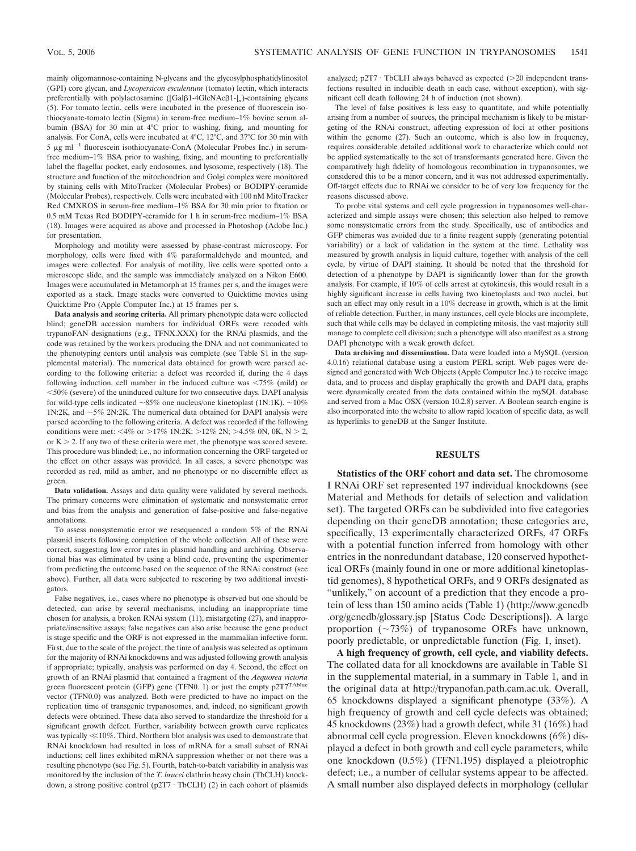mainly oligomannose-containing N-glycans and the glycosylphosphatidylinositol (GPI) core glycan, and *Lycopersicon esculentum* (tomato) lectin, which interacts preferentially with polylactosamine ([Galβ1-4GlcNAcβ1-]<sub>n</sub>)-containing glycans (5). For tomato lectin, cells were incubated in the presence of fluorescein isothiocyanate-tomato lectin (Sigma) in serum-free medium–1% bovine serum albumin (BSA) for 30 min at 4°C prior to washing, fixing, and mounting for analysis. For ConA, cells were incubated at 4°C, 12°C, and 37°C for 30 min with  $5 \mu g$  ml<sup>-1</sup> fluorescein isothiocyanate-ConA (Molecular Probes Inc.) in serumfree medium–1% BSA prior to washing, fixing, and mounting to preferentially label the flagellar pocket, early endosomes, and lysosome, respectively (18). The structure and function of the mitochondrion and Golgi complex were monitored by staining cells with MitoTracker (Molecular Probes) or BODIPY-ceramide (Molecular Probes), respectively. Cells were incubated with 100 nM MitoTracker Red CMXROS in serum-free medium–1% BSA for 30 min prior to fixation or 0.5 mM Texas Red BODIPY-ceramide for 1 h in serum-free medium–1% BSA (18). Images were acquired as above and processed in Photoshop (Adobe Inc.) for presentation.

Morphology and motility were assessed by phase-contrast microscopy. For morphology, cells were fixed with 4% paraformaldehyde and mounted, and images were collected. For analysis of motility, live cells were spotted onto a microscope slide, and the sample was immediately analyzed on a Nikon E600. Images were accumulated in Metamorph at 15 frames per s, and the images were exported as a stack. Image stacks were converted to Quicktime movies using Quicktime Pro (Apple Computer Inc.) at 15 frames per s.

**Data analysis and scoring criteria.** All primary phenotypic data were collected blind; geneDB accession numbers for individual ORFs were recoded with trypanoFAN designations (e.g., TFNX.XXX) for the RNAi plasmids, and the code was retained by the workers producing the DNA and not communicated to the phenotyping centers until analysis was complete (see Table S1 in the supplemental material). The numerical data obtained for growth were parsed according to the following criteria: a defect was recorded if, during the 4 days following induction, cell number in the induced culture was  $\leq 75\%$  (mild) or -50% (severe) of the uninduced culture for two consecutive days. DAPI analysis for wild-type cells indicated ~85% one nucleus/one kinetoplast (1N:1K), ~10% 1N:2K, and  $\sim$  5% 2N:2K. The numerical data obtained for DAPI analysis were parsed according to the following criteria. A defect was recorded if the following conditions were met: <4% or >17% 1N:2K; >12% 2N; >4.5% 0N, 0K, N > 2, or  $K > 2$ . If any two of these criteria were met, the phenotype was scored severe. This procedure was blinded; i.e., no information concerning the ORF targeted or the effect on other assays was provided. In all cases, a severe phenotype was recorded as red, mild as amber, and no phenotype or no discernible effect as green.

**Data validation.** Assays and data quality were validated by several methods. The primary concerns were elimination of systematic and nonsystematic error and bias from the analysis and generation of false-positive and false-negative annotations.

To assess nonsystematic error we resequenced a random 5% of the RNAi plasmid inserts following completion of the whole collection. All of these were correct, suggesting low error rates in plasmid handling and archiving. Observational bias was eliminated by using a blind code, preventing the experimenter from predicting the outcome based on the sequence of the RNAi construct (see above). Further, all data were subjected to rescoring by two additional investigators.

False negatives, i.e., cases where no phenotype is observed but one should be detected, can arise by several mechanisms, including an inappropriate time chosen for analysis, a broken RNAi system (11), mistargeting (27), and inappropriate/insensitive assays; false negatives can also arise because the gene product is stage specific and the ORF is not expressed in the mammalian infective form. First, due to the scale of the project, the time of analysis was selected as optimum for the majority of RNAi knockdowns and was adjusted following growth analysis if appropriate; typically, analysis was performed on day 4. Second, the effect on growth of an RNAi plasmid that contained a fragment of the *Aequorea victoria* green fluorescent protein (GFP) gene (TFN0. 1) or just the empty p2T7<sup>TAblue</sup> vector (TFN0.0) was analyzed. Both were predicted to have no impact on the replication time of transgenic trypanosomes, and, indeed, no significant growth defects were obtained. These data also served to standardize the threshold for a significant growth defect. Further, variability between growth curve replicates was typically  $\ll$ 10%. Third, Northern blot analysis was used to demonstrate that RNAi knockdown had resulted in loss of mRNA for a small subset of RNAi inductions; cell lines exhibited mRNA suppression whether or not there was a resulting phenotype (see Fig. 5). Fourth, batch-to-batch variability in analysis was monitored by the inclusion of the *T. brucei* clathrin heavy chain (TbCLH) knockdown, a strong positive control (p2T7 · TbCLH) (2) in each cohort of plasmids analyzed;  $p2T7 \cdot TbCLH$  always behaved as expected ( $>20$  independent transfections resulted in inducible death in each case, without exception), with significant cell death following 24 h of induction (not shown).

The level of false positives is less easy to quantitate, and while potentially arising from a number of sources, the principal mechanism is likely to be mistargeting of the RNAi construct, affecting expression of loci at other positions within the genome (27). Such an outcome, which is also low in frequency, requires considerable detailed additional work to characterize which could not be applied systematically to the set of transformants generated here. Given the comparatively high fidelity of homologous recombination in trypanosomes, we considered this to be a minor concern, and it was not addressed experimentally. Off-target effects due to RNAi we consider to be of very low frequency for the reasons discussed above.

To probe vital systems and cell cycle progression in trypanosomes well-characterized and simple assays were chosen; this selection also helped to remove some nonsystematic errors from the study. Specifically, use of antibodies and GFP chimeras was avoided due to a finite reagent supply (generating potential variability) or a lack of validation in the system at the time. Lethality was measured by growth analysis in liquid culture, together with analysis of the cell cycle, by virtue of DAPI staining. It should be noted that the threshold for detection of a phenotype by DAPI is significantly lower than for the growth analysis. For example, if 10% of cells arrest at cytokinesis, this would result in a highly significant increase in cells having two kinetoplasts and two nuclei, but such an effect may only result in a 10% decrease in growth, which is at the limit of reliable detection. Further, in many instances, cell cycle blocks are incomplete, such that while cells may be delayed in completing mitosis, the vast majority still manage to complete cell division; such a phenotype will also manifest as a strong DAPI phenotype with a weak growth defect.

**Data archiving and dissemination.** Data were loaded into a MySQL (version 4.0.16) relational database using a custom PERL script. Web pages were designed and generated with Web Objects (Apple Computer Inc.) to receive image data, and to process and display graphically the growth and DAPI data, graphs were dynamically created from the data contained within the mySQL database and served from a Mac OSX (version 10.2.8) server. A Boolean search engine is also incorporated into the website to allow rapid location of specific data, as well as hyperlinks to geneDB at the Sanger Institute.

## **RESULTS**

**Statistics of the ORF cohort and data set.** The chromosome I RNAi ORF set represented 197 individual knockdowns (see Material and Methods for details of selection and validation set). The targeted ORFs can be subdivided into five categories depending on their geneDB annotation; these categories are, specifically, 13 experimentally characterized ORFs, 47 ORFs with a potential function inferred from homology with other entries in the nonredundant database, 120 conserved hypothetical ORFs (mainly found in one or more additional kinetoplastid genomes), 8 hypothetical ORFs, and 9 ORFs designated as "unlikely," on account of a prediction that they encode a protein of less than 150 amino acids (Table 1) (http://www.genedb .org/genedb/glossary.jsp [Status Code Descriptions]). A large proportion  $(\sim 73\%)$  of trypanosome ORFs have unknown, poorly predictable, or unpredictable function (Fig. 1, inset).

**A high frequency of growth, cell cycle, and viability defects.** The collated data for all knockdowns are available in Table S1 in the supplemental material, in a summary in Table 1, and in the original data at http://trypanofan.path.cam.ac.uk. Overall, 65 knockdowns displayed a significant phenotype (33%). A high frequency of growth and cell cycle defects was obtained; 45 knockdowns (23%) had a growth defect, while 31 (16%) had abnormal cell cycle progression. Eleven knockdowns (6%) displayed a defect in both growth and cell cycle parameters, while one knockdown (0.5%) (TFN1.195) displayed a pleiotrophic defect; i.e., a number of cellular systems appear to be affected. A small number also displayed defects in morphology (cellular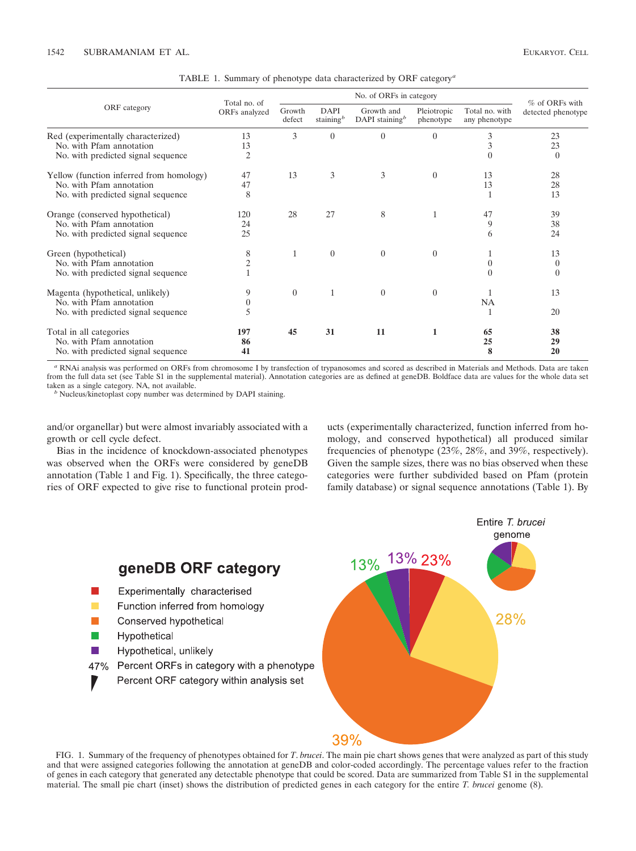TABLE 1. Summary of phenotype data characterized by ORF category *<sup>a</sup>*

| ORF category                             | Total no. of<br>ORFs analyzed | No. of ORFs in category |                              |                                  |                          |                                 | % of ORFs with     |
|------------------------------------------|-------------------------------|-------------------------|------------------------------|----------------------------------|--------------------------|---------------------------------|--------------------|
|                                          |                               | Growth<br>defect        | <b>DAPI</b><br>staining $^b$ | Growth and<br>DAPI staining $^b$ | Pleiotropic<br>phenotype | Total no. with<br>any phenotype | detected phenotype |
| Red (experimentally characterized)       | 13                            | 3                       | $\overline{0}$               | $\theta$                         | $\overline{0}$           | 3                               | 23                 |
| No. with Pfam annotation                 | 13                            |                         |                              |                                  |                          |                                 | 23                 |
| No. with predicted signal sequence       | $\overline{c}$                |                         |                              |                                  |                          |                                 | $\theta$           |
| Yellow (function inferred from homology) | 47                            | 13                      | 3                            | 3                                | $\Omega$                 | 13                              | 28                 |
| No. with Pfam annotation                 | 47                            |                         |                              |                                  |                          | 13                              | 28                 |
| No. with predicted signal sequence       | 8                             |                         |                              |                                  |                          | 1                               | 13                 |
| Orange (conserved hypothetical)          | 120                           | 28                      | 27                           | 8                                |                          | 47                              | 39                 |
| No. with Pfam annotation                 | 24                            |                         |                              |                                  |                          | 9                               | 38                 |
| No. with predicted signal sequence       | 25                            |                         |                              |                                  |                          | 6                               | 24                 |
| Green (hypothetical)                     | 8                             | $\mathbf{1}$            | $\overline{0}$               | $\overline{0}$                   | $\overline{0}$           | 1                               | 13                 |
| No. with Pfam annotation                 | $\overline{c}$                |                         |                              |                                  |                          | 0                               | $\overline{0}$     |
| No. with predicted signal sequence       |                               |                         |                              |                                  |                          | 0                               | $\overline{0}$     |
| Magenta (hypothetical, unlikely)         | 9                             | $\overline{0}$          | 1                            | $\theta$                         | $\theta$                 | 1                               | 13                 |
| No. with Pfam annotation                 | $\boldsymbol{0}$              |                         |                              |                                  |                          | NA                              |                    |
| No. with predicted signal sequence       | 5                             |                         |                              |                                  |                          | 1                               | 20                 |
| Total in all categories                  | 197                           | 45                      | 31                           | 11                               | 1                        | 65                              | 38                 |
| No. with Pfam annotation                 | 86                            |                         |                              |                                  |                          | 25                              | 29                 |
| No. with predicted signal sequence       | 41                            |                         |                              |                                  |                          | 8                               | 20                 |

*<sup>a</sup>* RNAi analysis was performed on ORFs from chromosome I by transfection of trypanosomes and scored as described in Materials and Methods. Data are taken from the full data set (see Table S1 in the supplemental material). Annotation categories are as defined at geneDB. Boldface data are values for the whole data set taken as a single category. NA, not available.

<sup>b</sup> Nucleus/kinetoplast copy number was determined by DAPI staining.

and/or organellar) but were almost invariably associated with a growth or cell cycle defect.

Bias in the incidence of knockdown-associated phenotypes was observed when the ORFs were considered by geneDB annotation (Table 1 and Fig. 1). Specifically, the three categories of ORF expected to give rise to functional protein products (experimentally characterized, function inferred from homology, and conserved hypothetical) all produced similar frequencies of phenotype (23%, 28%, and 39%, respectively). Given the sample sizes, there was no bias observed when these categories were further subdivided based on Pfam (protein family database) or signal sequence annotations (Table 1). By

Entire T. brucei



FIG. 1. Summary of the frequency of phenotypes obtained for *T*. *brucei*. The main pie chart shows genes that were analyzed as part of this study and that were assigned categories following the annotation at geneDB and color-coded accordingly. The percentage values refer to the fraction of genes in each category that generated any detectable phenotype that could be scored. Data are summarized from Table S1 in the supplemental material. The small pie chart (inset) shows the distribution of predicted genes in each category for the entire *T. brucei* genome (8).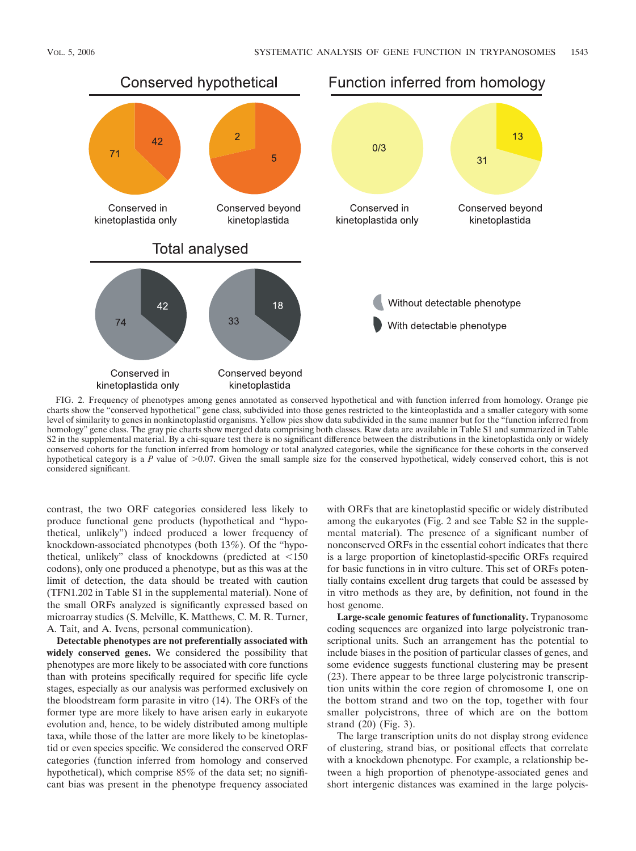

FIG. 2. Frequency of phenotypes among genes annotated as conserved hypothetical and with function inferred from homology. Orange pie charts show the "conserved hypothetical" gene class, subdivided into those genes restricted to the kinteoplastida and a smaller category with some level of similarity to genes in nonkinetoplastid organisms. Yellow pies show data subdivided in the same manner but for the "function inferred from homology" gene class. The gray pie charts show merged data comprising both classes. Raw data are available in Table S1 and summarized in Table S2 in the supplemental material. By a chi-square test there is no significant difference between the distributions in the kinetoplastida only or widely conserved cohorts for the function inferred from homology or total analyzed categories, while the significance for these cohorts in the conserved hypothetical category is a  $P$  value of  $>0.07$ . Given the small sample size for the conserved hypothetical, widely conserved cohort, this is not considered significant.

contrast, the two ORF categories considered less likely to produce functional gene products (hypothetical and "hypothetical, unlikely") indeed produced a lower frequency of knockdown-associated phenotypes (both 13%). Of the "hypothetical, unlikely" class of knockdowns (predicted at  $\leq 150$ codons), only one produced a phenotype, but as this was at the limit of detection, the data should be treated with caution (TFN1.202 in Table S1 in the supplemental material). None of the small ORFs analyzed is significantly expressed based on microarray studies (S. Melville, K. Matthews, C. M. R. Turner, A. Tait, and A. Ivens, personal communication).

**Detectable phenotypes are not preferentially associated with widely conserved genes.** We considered the possibility that phenotypes are more likely to be associated with core functions than with proteins specifically required for specific life cycle stages, especially as our analysis was performed exclusively on the bloodstream form parasite in vitro (14). The ORFs of the former type are more likely to have arisen early in eukaryote evolution and, hence, to be widely distributed among multiple taxa, while those of the latter are more likely to be kinetoplastid or even species specific. We considered the conserved ORF categories (function inferred from homology and conserved hypothetical), which comprise 85% of the data set; no significant bias was present in the phenotype frequency associated with ORFs that are kinetoplastid specific or widely distributed among the eukaryotes (Fig. 2 and see Table S2 in the supplemental material). The presence of a significant number of nonconserved ORFs in the essential cohort indicates that there is a large proportion of kinetoplastid-specific ORFs required for basic functions in in vitro culture. This set of ORFs potentially contains excellent drug targets that could be assessed by in vitro methods as they are, by definition, not found in the host genome.

**Large-scale genomic features of functionality.** Trypanosome coding sequences are organized into large polycistronic transcriptional units. Such an arrangement has the potential to include biases in the position of particular classes of genes, and some evidence suggests functional clustering may be present (23). There appear to be three large polycistronic transcription units within the core region of chromosome I, one on the bottom strand and two on the top, together with four smaller polycistrons, three of which are on the bottom strand (20) (Fig. 3).

The large transcription units do not display strong evidence of clustering, strand bias, or positional effects that correlate with a knockdown phenotype. For example, a relationship between a high proportion of phenotype-associated genes and short intergenic distances was examined in the large polycis-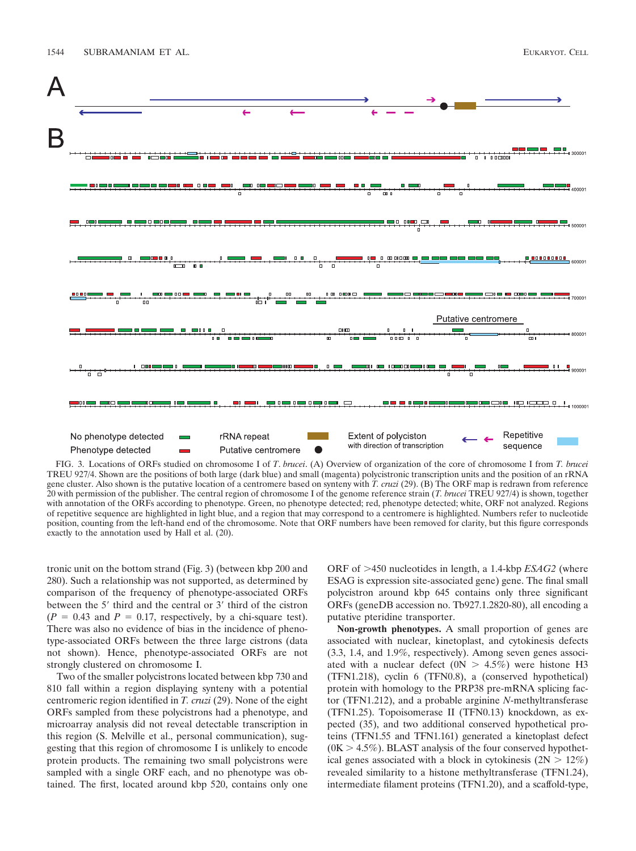

FIG. 3. Locations of ORFs studied on chromosome I of *T*. *brucei*. (A) Overview of organization of the core of chromosome I from *T. brucei* TREU 927/4. Shown are the positions of both large (dark blue) and small (magenta) polycistronic transcription units and the position of an rRNA gene cluster. Also shown is the putative location of a centromere based on synteny with *T. cruzi* (29). (B) The ORF map is redrawn from reference 20 with permission of the publisher. The central region of chromosome I of the genome reference strain (*T. brucei* TREU 927/4) is shown, together with annotation of the ORFs according to phenotype. Green, no phenotype detected; red, phenotype detected; white, ORF not analyzed. Regions of repetitive sequence are highlighted in light blue, and a region that may correspond to a centromere is highlighted. Numbers refer to nucleotide position, counting from the left-hand end of the chromosome. Note that ORF numbers have been removed for clarity, but this figure corresponds exactly to the annotation used by Hall et al. (20).

tronic unit on the bottom strand (Fig. 3) (between kbp 200 and 280). Such a relationship was not supported, as determined by comparison of the frequency of phenotype-associated ORFs between the 5' third and the central or 3' third of the cistron  $(P = 0.43$  and  $P = 0.17$ , respectively, by a chi-square test). There was also no evidence of bias in the incidence of phenotype-associated ORFs between the three large cistrons (data not shown). Hence, phenotype-associated ORFs are not strongly clustered on chromosome I.

Two of the smaller polycistrons located between kbp 730 and 810 fall within a region displaying synteny with a potential centromeric region identified in *T. cruzi* (29). None of the eight ORFs sampled from these polycistrons had a phenotype, and microarray analysis did not reveal detectable transcription in this region (S. Melville et al., personal communication), suggesting that this region of chromosome I is unlikely to encode protein products. The remaining two small polycistrons were sampled with a single ORF each, and no phenotype was obtained. The first, located around kbp 520, contains only one ORF of  $>450$  nucleotides in length, a 1.4-kbp *ESAG2* (where ESAG is expression site-associated gene) gene. The final small polycistron around kbp 645 contains only three significant ORFs (geneDB accession no. Tb927.1.2820-80), all encoding a putative pteridine transporter.

**Non-growth phenotypes.** A small proportion of genes are associated with nuclear, kinetoplast, and cytokinesis defects (3.3, 1.4, and 1.9%, respectively). Among seven genes associated with a nuclear defect  $(0N > 4.5\%)$  were histone H3 (TFN1.218), cyclin 6 (TFN0.8), a (conserved hypothetical) protein with homology to the PRP38 pre-mRNA splicing factor (TFN1.212), and a probable arginine *N*-methyltransferase (TFN1.25). Topoisomerase II (TFN0.13) knockdown, as expected (35), and two additional conserved hypothetical proteins (TFN1.55 and TFN1.161) generated a kinetoplast defect  $(0K > 4.5\%)$ . BLAST analysis of the four conserved hypothetical genes associated with a block in cytokinesis  $(2N > 12\%)$ revealed similarity to a histone methyltransferase (TFN1.24), intermediate filament proteins (TFN1.20), and a scaffold-type,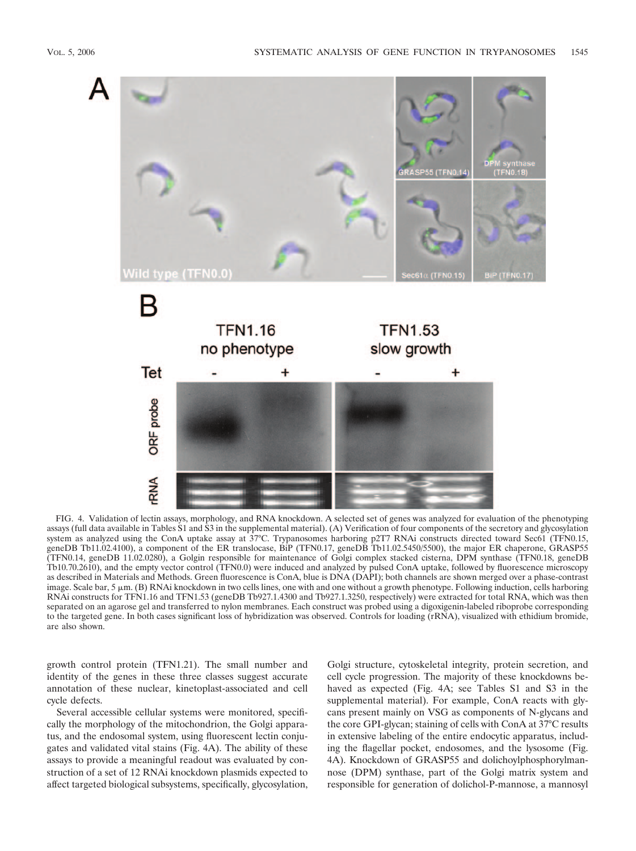

FIG. 4. Validation of lectin assays, morphology, and RNA knockdown. A selected set of genes was analyzed for evaluation of the phenotyping assays (full data available in Tables S1 and S3 in the supplemental material). (A) Verification of four components of the secretory and glycosylation system as analyzed using the ConA uptake assay at 37°C. Trypanosomes harboring p2T7 RNAi constructs directed toward Sec61 (TFN0.15, geneDB Tb11.02.4100), a component of the ER translocase, BiP (TFN0.17, geneDB Tb11.02.5450/5500), the major ER chaperone, GRASP55 (TFN0.14, geneDB 11.02.0280), a Golgin responsible for maintenance of Golgi complex stacked cisterna, DPM synthase (TFN0.18, geneDB Tb10.70.2610), and the empty vector control (TFN0.0) were induced and analyzed by pulsed ConA uptake, followed by fluorescence microscopy as described in Materials and Methods. Green fluorescence is ConA, blue is DNA (DAPI); both channels are shown merged over a phase-contrast image. Scale bar,  $5 \mu m$ . (B) RNAi knockdown in two cells lines, one with and one without a growth phenotype. Following induction, cells harboring RNAi constructs for TFN1.16 and TFN1.53 (geneDB Tb927.1.4300 and Tb927.1.3250, respectively) were extracted for total RNA, which was then separated on an agarose gel and transferred to nylon membranes. Each construct was probed using a digoxigenin-labeled riboprobe corresponding to the targeted gene. In both cases significant loss of hybridization was observed. Controls for loading (rRNA), visualized with ethidium bromide, are also shown.

growth control protein (TFN1.21). The small number and identity of the genes in these three classes suggest accurate annotation of these nuclear, kinetoplast-associated and cell cycle defects.

Several accessible cellular systems were monitored, specifically the morphology of the mitochondrion, the Golgi apparatus, and the endosomal system, using fluorescent lectin conjugates and validated vital stains (Fig. 4A). The ability of these assays to provide a meaningful readout was evaluated by construction of a set of 12 RNAi knockdown plasmids expected to affect targeted biological subsystems, specifically, glycosylation, Golgi structure, cytoskeletal integrity, protein secretion, and cell cycle progression. The majority of these knockdowns behaved as expected (Fig. 4A; see Tables S1 and S3 in the supplemental material). For example, ConA reacts with glycans present mainly on VSG as components of N-glycans and the core GPI-glycan; staining of cells with ConA at 37°C results in extensive labeling of the entire endocytic apparatus, including the flagellar pocket, endosomes, and the lysosome (Fig. 4A). Knockdown of GRASP55 and dolichoylphosphorylmannose (DPM) synthase, part of the Golgi matrix system and responsible for generation of dolichol-P-mannose, a mannosyl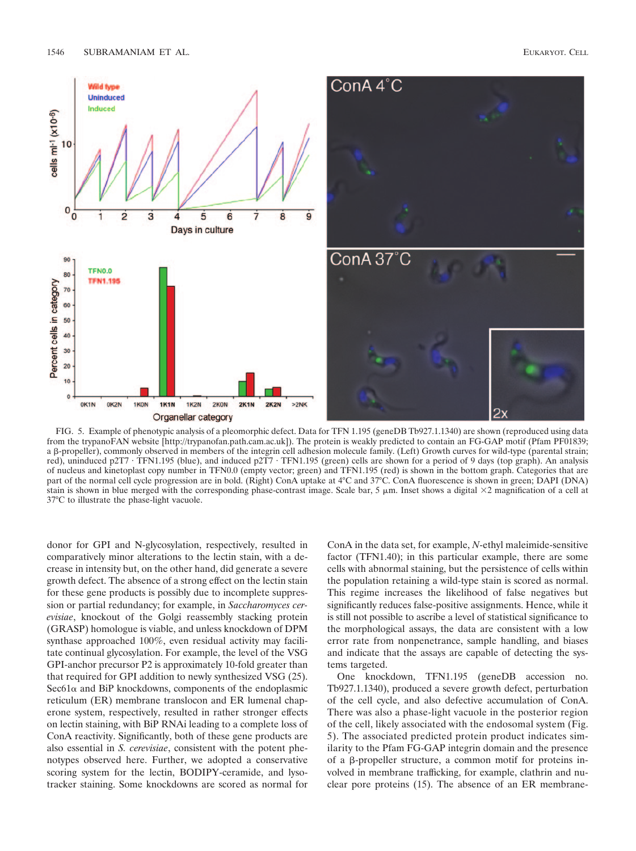

FIG. 5. Example of phenotypic analysis of a pleomorphic defect. Data for TFN 1.195 (geneDB Tb927.1.1340) are shown (reproduced using data from the trypanoFAN website [http://trypanofan.path.cam.ac.uk]). The protein is weakly predicted to contain an FG-GAP motif (Pfam PF01839; a  $\beta$ -propeller), commonly observed in members of the integrin cell adhesion molecule family. (Left) Growth curves for wild-type (parental strain; red), uninduced p2T7 · TFN1.195 (blue), and induced p2T7 · TFN1.195 (green) cells are shown for a period of 9 days (top graph). An analysis of nucleus and kinetoplast copy number in TFN0.0 (empty vector; green) and TFN1.195 (red) is shown in the bottom graph. Categories that are part of the normal cell cycle progression are in bold. (Right) ConA uptake at 4°C and 37°C. ConA fluorescence is shown in green; DAPI (DNA) stain is shown in blue merged with the corresponding phase-contrast image. Scale bar, 5  $\mu$ m. Inset shows a digital  $\times$ 2 magnification of a cell at 37°C to illustrate the phase-light vacuole.

donor for GPI and N-glycosylation, respectively, resulted in comparatively minor alterations to the lectin stain, with a decrease in intensity but, on the other hand, did generate a severe growth defect. The absence of a strong effect on the lectin stain for these gene products is possibly due to incomplete suppression or partial redundancy; for example, in *Saccharomyces cerevisiae*, knockout of the Golgi reassembly stacking protein (GRASP) homologue is viable, and unless knockdown of DPM synthase approached 100%, even residual activity may facilitate continual glycosylation. For example, the level of the VSG GPI-anchor precursor P2 is approximately 10-fold greater than that required for GPI addition to newly synthesized VSG (25).  $\text{Sec61}\alpha$  and BiP knockdowns, components of the endoplasmic reticulum (ER) membrane translocon and ER lumenal chaperone system, respectively, resulted in rather stronger effects on lectin staining, with BiP RNAi leading to a complete loss of ConA reactivity. Significantly, both of these gene products are also essential in *S. cerevisiae*, consistent with the potent phenotypes observed here. Further, we adopted a conservative scoring system for the lectin, BODIPY-ceramide, and lysotracker staining. Some knockdowns are scored as normal for ConA in the data set, for example, *N*-ethyl maleimide-sensitive factor (TFN1.40); in this particular example, there are some cells with abnormal staining, but the persistence of cells within the population retaining a wild-type stain is scored as normal. This regime increases the likelihood of false negatives but significantly reduces false-positive assignments. Hence, while it is still not possible to ascribe a level of statistical significance to the morphological assays, the data are consistent with a low error rate from nonpenetrance, sample handling, and biases and indicate that the assays are capable of detecting the systems targeted.

One knockdown, TFN1.195 (geneDB accession no. Tb927.1.1340), produced a severe growth defect, perturbation of the cell cycle, and also defective accumulation of ConA. There was also a phase-light vacuole in the posterior region of the cell, likely associated with the endosomal system (Fig. 5). The associated predicted protein product indicates similarity to the Pfam FG-GAP integrin domain and the presence of a  $\beta$ -propeller structure, a common motif for proteins involved in membrane trafficking, for example, clathrin and nuclear pore proteins (15). The absence of an ER membrane-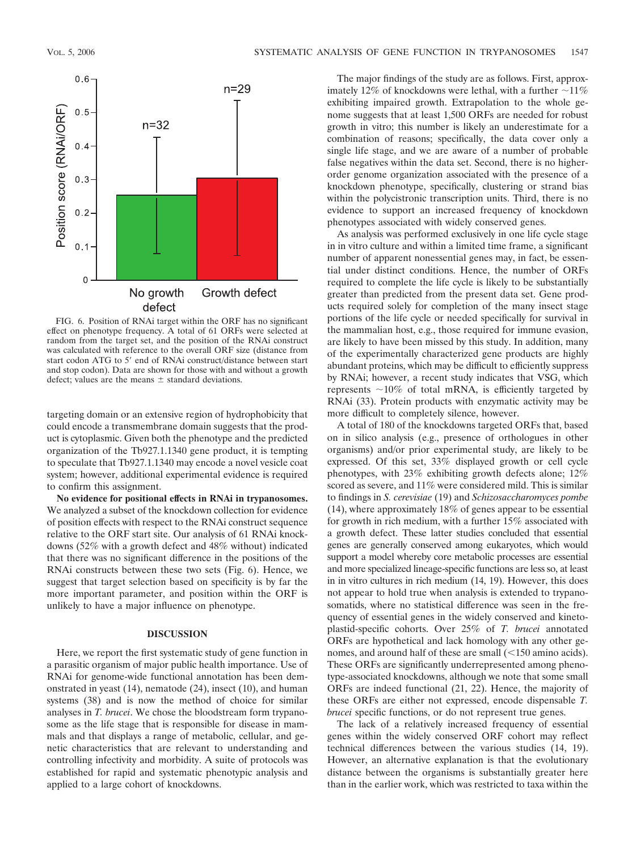

FIG. 6. Position of RNAi target within the ORF has no significant effect on phenotype frequency. A total of 61 ORFs were selected at random from the target set, and the position of the RNAi construct was calculated with reference to the overall ORF size (distance from start codon ATG to 5' end of RNAi construct/distance between start and stop codon). Data are shown for those with and without a growth defect; values are the means  $\pm$  standard deviations.

targeting domain or an extensive region of hydrophobicity that could encode a transmembrane domain suggests that the product is cytoplasmic. Given both the phenotype and the predicted organization of the Tb927.1.1340 gene product, it is tempting to speculate that Tb927.1.1340 may encode a novel vesicle coat system; however, additional experimental evidence is required to confirm this assignment.

**No evidence for positional effects in RNAi in trypanosomes.** We analyzed a subset of the knockdown collection for evidence of position effects with respect to the RNAi construct sequence relative to the ORF start site. Our analysis of 61 RNAi knockdowns (52% with a growth defect and 48% without) indicated that there was no significant difference in the positions of the RNAi constructs between these two sets (Fig. 6). Hence, we suggest that target selection based on specificity is by far the more important parameter, and position within the ORF is unlikely to have a major influence on phenotype.

# **DISCUSSION**

Here, we report the first systematic study of gene function in a parasitic organism of major public health importance. Use of RNAi for genome-wide functional annotation has been demonstrated in yeast (14), nematode (24), insect (10), and human systems (38) and is now the method of choice for similar analyses in *T. brucei*. We chose the bloodstream form trypanosome as the life stage that is responsible for disease in mammals and that displays a range of metabolic, cellular, and genetic characteristics that are relevant to understanding and controlling infectivity and morbidity. A suite of protocols was established for rapid and systematic phenotypic analysis and applied to a large cohort of knockdowns.

The major findings of the study are as follows. First, approximately 12% of knockdowns were lethal, with a further  $\sim$ 11% exhibiting impaired growth. Extrapolation to the whole genome suggests that at least 1,500 ORFs are needed for robust growth in vitro; this number is likely an underestimate for a combination of reasons; specifically, the data cover only a single life stage, and we are aware of a number of probable false negatives within the data set. Second, there is no higherorder genome organization associated with the presence of a knockdown phenotype, specifically, clustering or strand bias within the polycistronic transcription units. Third, there is no evidence to support an increased frequency of knockdown phenotypes associated with widely conserved genes.

As analysis was performed exclusively in one life cycle stage in in vitro culture and within a limited time frame, a significant number of apparent nonessential genes may, in fact, be essential under distinct conditions. Hence, the number of ORFs required to complete the life cycle is likely to be substantially greater than predicted from the present data set. Gene products required solely for completion of the many insect stage portions of the life cycle or needed specifically for survival in the mammalian host, e.g., those required for immune evasion, are likely to have been missed by this study. In addition, many of the experimentally characterized gene products are highly abundant proteins, which may be difficult to efficiently suppress by RNAi; however, a recent study indicates that VSG, which represents  $\sim$ 10% of total mRNA, is efficiently targeted by RNAi (33). Protein products with enzymatic activity may be more difficult to completely silence, however.

A total of 180 of the knockdowns targeted ORFs that, based on in silico analysis (e.g., presence of orthologues in other organisms) and/or prior experimental study, are likely to be expressed. Of this set, 33% displayed growth or cell cycle phenotypes, with 23% exhibiting growth defects alone; 12% scored as severe, and 11% were considered mild. This is similar to findings in *S. cerevisiae* (19) and *Schizosaccharomyces pombe* (14), where approximately 18% of genes appear to be essential for growth in rich medium, with a further 15% associated with a growth defect. These latter studies concluded that essential genes are generally conserved among eukaryotes, which would support a model whereby core metabolic processes are essential and more specialized lineage-specific functions are less so, at least in in vitro cultures in rich medium (14, 19). However, this does not appear to hold true when analysis is extended to trypanosomatids, where no statistical difference was seen in the frequency of essential genes in the widely conserved and kinetoplastid-specific cohorts. Over 25% of *T. brucei* annotated ORFs are hypothetical and lack homology with any other genomes, and around half of these are small  $(\leq 150$  amino acids). These ORFs are significantly underrepresented among phenotype-associated knockdowns, although we note that some small ORFs are indeed functional (21, 22). Hence, the majority of these ORFs are either not expressed, encode dispensable *T. brucei* specific functions, or do not represent true genes.

The lack of a relatively increased frequency of essential genes within the widely conserved ORF cohort may reflect technical differences between the various studies (14, 19). However, an alternative explanation is that the evolutionary distance between the organisms is substantially greater here than in the earlier work, which was restricted to taxa within the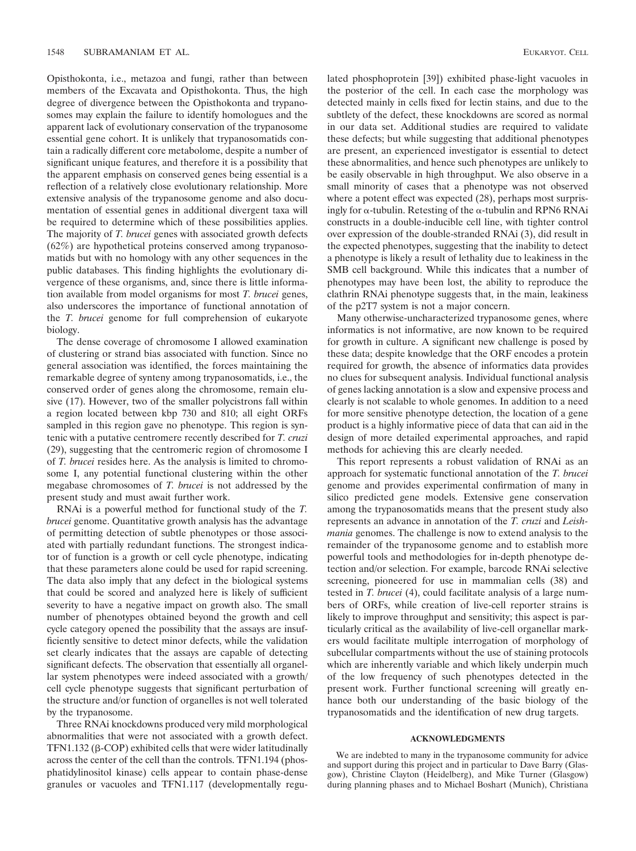Opisthokonta, i.e., metazoa and fungi, rather than between members of the Excavata and Opisthokonta. Thus, the high degree of divergence between the Opisthokonta and trypanosomes may explain the failure to identify homologues and the apparent lack of evolutionary conservation of the trypanosome essential gene cohort. It is unlikely that trypanosomatids contain a radically different core metabolome, despite a number of significant unique features, and therefore it is a possibility that the apparent emphasis on conserved genes being essential is a reflection of a relatively close evolutionary relationship. More extensive analysis of the trypanosome genome and also documentation of essential genes in additional divergent taxa will be required to determine which of these possibilities applies. The majority of *T. brucei* genes with associated growth defects (62%) are hypothetical proteins conserved among trypanosomatids but with no homology with any other sequences in the public databases. This finding highlights the evolutionary divergence of these organisms, and, since there is little information available from model organisms for most *T. brucei* genes, also underscores the importance of functional annotation of the *T. brucei* genome for full comprehension of eukaryote biology.

The dense coverage of chromosome I allowed examination of clustering or strand bias associated with function. Since no general association was identified, the forces maintaining the remarkable degree of synteny among trypanosomatids, i.e., the conserved order of genes along the chromosome, remain elusive (17). However, two of the smaller polycistrons fall within a region located between kbp 730 and 810; all eight ORFs sampled in this region gave no phenotype. This region is syntenic with a putative centromere recently described for *T. cruzi* (29), suggesting that the centromeric region of chromosome I of *T. brucei* resides here. As the analysis is limited to chromosome I, any potential functional clustering within the other megabase chromosomes of *T. brucei* is not addressed by the present study and must await further work.

RNAi is a powerful method for functional study of the *T. brucei* genome. Quantitative growth analysis has the advantage of permitting detection of subtle phenotypes or those associated with partially redundant functions. The strongest indicator of function is a growth or cell cycle phenotype, indicating that these parameters alone could be used for rapid screening. The data also imply that any defect in the biological systems that could be scored and analyzed here is likely of sufficient severity to have a negative impact on growth also. The small number of phenotypes obtained beyond the growth and cell cycle category opened the possibility that the assays are insufficiently sensitive to detect minor defects, while the validation set clearly indicates that the assays are capable of detecting significant defects. The observation that essentially all organellar system phenotypes were indeed associated with a growth/ cell cycle phenotype suggests that significant perturbation of the structure and/or function of organelles is not well tolerated by the trypanosome.

Three RNAi knockdowns produced very mild morphological abnormalities that were not associated with a growth defect. TFN1.132 ( $\beta$ -COP) exhibited cells that were wider latitudinally across the center of the cell than the controls. TFN1.194 (phosphatidylinositol kinase) cells appear to contain phase-dense granules or vacuoles and TFN1.117 (developmentally regulated phosphoprotein [39]) exhibited phase-light vacuoles in the posterior of the cell. In each case the morphology was detected mainly in cells fixed for lectin stains, and due to the subtlety of the defect, these knockdowns are scored as normal in our data set. Additional studies are required to validate these defects; but while suggesting that additional phenotypes are present, an experienced investigator is essential to detect these abnormalities, and hence such phenotypes are unlikely to be easily observable in high throughput. We also observe in a small minority of cases that a phenotype was not observed where a potent effect was expected (28), perhaps most surprisingly for  $\alpha$ -tubulin. Retesting of the  $\alpha$ -tubulin and RPN6 RNAi constructs in a double-inducible cell line, with tighter control over expression of the double-stranded RNAi (3), did result in the expected phenotypes, suggesting that the inability to detect a phenotype is likely a result of lethality due to leakiness in the SMB cell background. While this indicates that a number of phenotypes may have been lost, the ability to reproduce the clathrin RNAi phenotype suggests that, in the main, leakiness of the p2T7 system is not a major concern.

Many otherwise-uncharacterized trypanosome genes, where informatics is not informative, are now known to be required for growth in culture. A significant new challenge is posed by these data; despite knowledge that the ORF encodes a protein required for growth, the absence of informatics data provides no clues for subsequent analysis. Individual functional analysis of genes lacking annotation is a slow and expensive process and clearly is not scalable to whole genomes. In addition to a need for more sensitive phenotype detection, the location of a gene product is a highly informative piece of data that can aid in the design of more detailed experimental approaches, and rapid methods for achieving this are clearly needed.

This report represents a robust validation of RNAi as an approach for systematic functional annotation of the *T. brucei* genome and provides experimental confirmation of many in silico predicted gene models. Extensive gene conservation among the trypanosomatids means that the present study also represents an advance in annotation of the *T. cruzi* and *Leishmania* genomes. The challenge is now to extend analysis to the remainder of the trypanosome genome and to establish more powerful tools and methodologies for in-depth phenotype detection and/or selection. For example, barcode RNAi selective screening, pioneered for use in mammalian cells (38) and tested in *T. brucei* (4), could facilitate analysis of a large numbers of ORFs, while creation of live-cell reporter strains is likely to improve throughput and sensitivity; this aspect is particularly critical as the availability of live-cell organellar markers would facilitate multiple interrogation of morphology of subcellular compartments without the use of staining protocols which are inherently variable and which likely underpin much of the low frequency of such phenotypes detected in the present work. Further functional screening will greatly enhance both our understanding of the basic biology of the trypanosomatids and the identification of new drug targets.

### **ACKNOWLEDGMENTS**

We are indebted to many in the trypanosome community for advice and support during this project and in particular to Dave Barry (Glasgow), Christine Clayton (Heidelberg), and Mike Turner (Glasgow) during planning phases and to Michael Boshart (Munich), Christiana